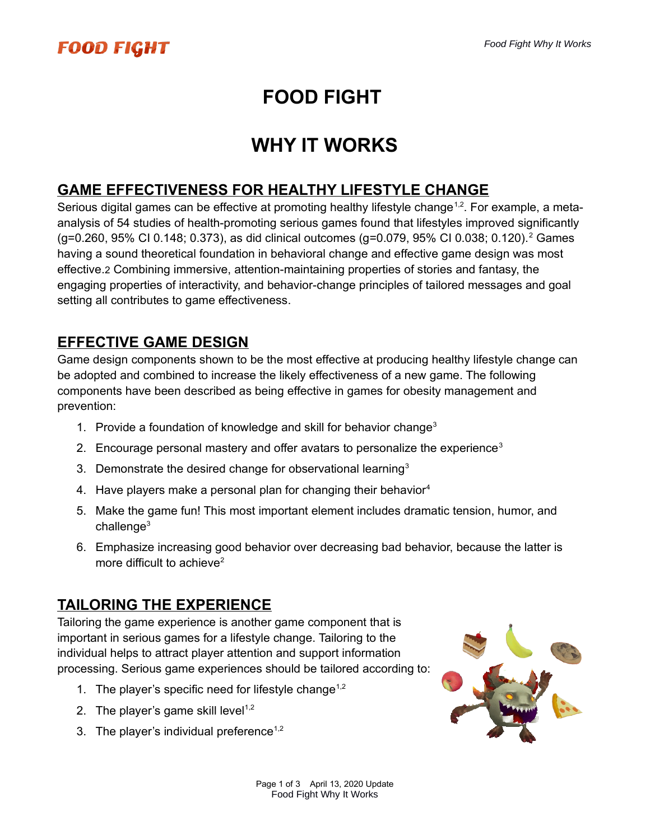# **FOOD FIGHT**

# **WHY IT WORKS**

#### **GAME EFFECTIVENESS FOR HEALTHY LIFESTYLE CHANGE**

Serious digital games can be effective at promoting healthy lifestyle change<sup>1,2</sup>. For example, a metaanalysis of 54 studies of health-promoting serious games found that lifestyles improved significantly (g=0.260, 95% CI 0.148; 0.373), as did clinical outcomes (g=0.079, 95% CI 0.038; 0.120).<sup>2</sup> Games having a sound theoretical foundation in behavioral change and effective game design was most effective.2 Combining immersive, attention-maintaining properties of stories and fantasy, the engaging properties of interactivity, and behavior-change principles of tailored messages and goal setting all contributes to game effectiveness.

### **EFFECTIVE GAME DESIGN**

Game design components shown to be the most effective at producing healthy lifestyle change can be adopted and combined to increase the likely effectiveness of a new game. The following components have been described as being effective in games for obesity management and prevention:

- 1. Provide a foundation of knowledge and skill for behavior change<sup>3</sup>
- 2. Encourage personal mastery and offer avatars to personalize the experience<sup>3</sup>
- 3. Demonstrate the desired change for observational learning<sup>3</sup>
- 4. Have players make a personal plan for changing their behavior<sup>4</sup>
- 5. Make the game fun! This most important element includes dramatic tension, humor, and  $challenae<sup>3</sup>$
- 6. Emphasize increasing good behavior over decreasing bad behavior, because the latter is more difficult to achieve<sup>2</sup>

### **TAILORING THE EXPERIENCE**

Tailoring the game experience is another game component that is important in serious games for a lifestyle change. Tailoring to the individual helps to attract player attention and support information processing. Serious game experiences should be tailored according to:

- 1. The player's specific need for lifestyle change<sup>1,2</sup>
- 2. The player's game skill level<sup> $1,2$ </sup>
- 3. The player's individual preference<sup> $1,2$ </sup>

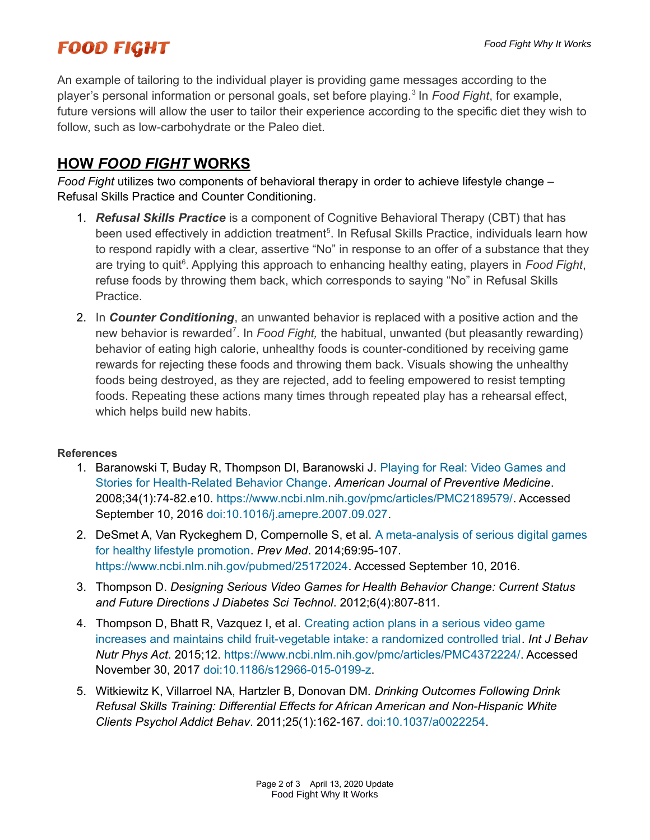## **FOOD FIGHT**

An example of tailoring to the individual player is providing game messages according to the player's personal information or personal goals, set before playing.<sup>3</sup> In *Food Fight*, for example, future versions will allow the user to tailor their experience according to the specific diet they wish to follow, such as low-carbohydrate or the Paleo diet.

#### **HOW** *FOOD FIGHT* **WORKS**

*Food Fight* utilizes two components of behavioral therapy in order to achieve lifestyle change – Refusal Skills Practice and Counter Conditioning.

- 1. *Refusal Skills Practice* is a component of Cognitive Behavioral Therapy (CBT) that has been used effectively in addiction treatment<sup>5</sup>. In Refusal Skills Practice, individuals learn how to respond rapidly with a clear, assertive "No" in response to an offer of a substance that they are trying to quit<sup>6</sup>. Applying this approach to enhancing healthy eating, players in *Food Fight*, refuse foods by throwing them back, which corresponds to saying "No" in Refusal Skills Practice.
- 2. In *Counter Conditioning*, an unwanted behavior is replaced with a positive action and the new behavior is rewarded<sup>7</sup>. In *Food Fight,* the habitual, unwanted (but pleasantly rewarding) behavior of eating high calorie, unhealthy foods is counter-conditioned by receiving game rewards for rejecting these foods and throwing them back. Visuals showing the unhealthy foods being destroyed, as they are rejected, add to feeling empowered to resist tempting foods. Repeating these actions many times through repeated play has a rehearsal effect, which helps build new habits.

#### **References**

- 1. Baranowski T, Buday R, Thompson DI, Baranowski J. [Playing for Real: Video Games and](https://www.ncbi.nlm.nih.gov/pmc/articles/PMC2189579/)  [Stories for Health-Related Behavior Change.](https://www.ncbi.nlm.nih.gov/pmc/articles/PMC2189579/) *American Journal of Preventive Medicine*. 2008;34(1):74-82.e10.<https://www.ncbi.nlm.nih.gov/pmc/articles/PMC2189579/>. Accessed September 10, 2016 [doi:10.1016/j.amepre.2007.09.027.](http://dx.doi.org/10.1016/j.amepre.2007.09.027)
- 2. DeSmet A, Van Ryckeghem D, Compernolle S, et al. [A meta-analysis of serious digital games](https://www.ncbi.nlm.nih.gov/pubmed/25172024)  [for healthy lifestyle promotion](https://www.ncbi.nlm.nih.gov/pubmed/25172024). *Prev Med*. 2014;69:95-107. <https://www.ncbi.nlm.nih.gov/pubmed/25172024>. Accessed September 10, 2016.
- 3. Thompson D. *Designing Serious Video Games for Health Behavior Change: Current Status and Future Directions J Diabetes Sci Technol*. 2012;6(4):807-811.
- 4. Thompson D, Bhatt R, Vazquez I, et al. [Creating action plans in a serious video game](https://www.ncbi.nlm.nih.gov/pmc/articles/PMC4372224/)  [increases and maintains child fruit-vegetable intake: a randomized controlled trial](https://www.ncbi.nlm.nih.gov/pmc/articles/PMC4372224/). *Int J Behav Nutr Phys Act*. 2015;12.<https://www.ncbi.nlm.nih.gov/pmc/articles/PMC4372224/>. Accessed November 30, 2017 [doi:10.1186/s12966-015-0199-z.](http://dx.doi.org/10.1186/s12966-015-0199-z)
- 5. Witkiewitz K, Villarroel NA, Hartzler B, Donovan DM. *Drinking Outcomes Following Drink Refusal Skills Training: Differential Effects for African American and Non-Hispanic White Clients Psychol Addict Behav*. 2011;25(1):162-167. [doi:10.1037/a0022254](http://dx.doi.org/10.1037/a0022254).